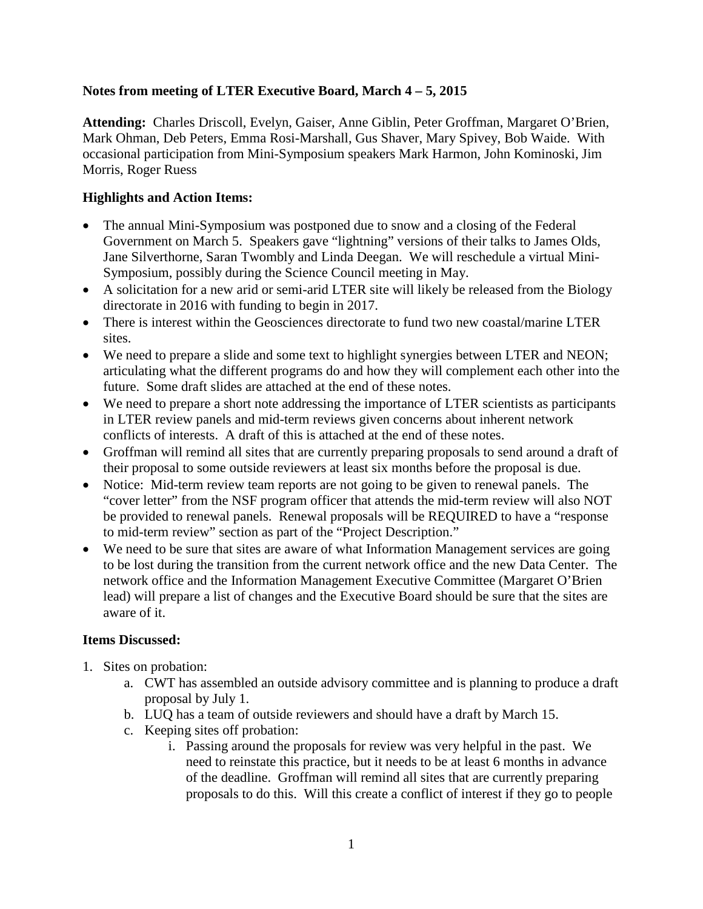#### **Notes from meeting of LTER Executive Board, March 4 – 5, 2015**

**Attending:** Charles Driscoll, Evelyn, Gaiser, Anne Giblin, Peter Groffman, Margaret O'Brien, Mark Ohman, Deb Peters, Emma Rosi-Marshall, Gus Shaver, Mary Spivey, Bob Waide. With occasional participation from Mini-Symposium speakers Mark Harmon, John Kominoski, Jim Morris, Roger Ruess

#### **Highlights and Action Items:**

- The annual Mini-Symposium was postponed due to snow and a closing of the Federal Government on March 5. Speakers gave "lightning" versions of their talks to James Olds, Jane Silverthorne, Saran Twombly and Linda Deegan. We will reschedule a virtual Mini-Symposium, possibly during the Science Council meeting in May.
- A solicitation for a new arid or semi-arid LTER site will likely be released from the Biology directorate in 2016 with funding to begin in 2017.
- There is interest within the Geosciences directorate to fund two new coastal/marine LTER sites.
- We need to prepare a slide and some text to highlight synergies between LTER and NEON; articulating what the different programs do and how they will complement each other into the future. Some draft slides are attached at the end of these notes.
- We need to prepare a short note addressing the importance of LTER scientists as participants in LTER review panels and mid-term reviews given concerns about inherent network conflicts of interests. A draft of this is attached at the end of these notes.
- Groffman will remind all sites that are currently preparing proposals to send around a draft of their proposal to some outside reviewers at least six months before the proposal is due.
- Notice: Mid-term review team reports are not going to be given to renewal panels. The "cover letter" from the NSF program officer that attends the mid-term review will also NOT be provided to renewal panels. Renewal proposals will be REQUIRED to have a "response to mid-term review" section as part of the "Project Description."
- We need to be sure that sites are aware of what Information Management services are going to be lost during the transition from the current network office and the new Data Center. The network office and the Information Management Executive Committee (Margaret O'Brien lead) will prepare a list of changes and the Executive Board should be sure that the sites are aware of it.

#### **Items Discussed:**

- 1. Sites on probation:
	- a. CWT has assembled an outside advisory committee and is planning to produce a draft proposal by July 1.
	- b. LUQ has a team of outside reviewers and should have a draft by March 15.
	- c. Keeping sites off probation:
		- i. Passing around the proposals for review was very helpful in the past. We need to reinstate this practice, but it needs to be at least 6 months in advance of the deadline. Groffman will remind all sites that are currently preparing proposals to do this. Will this create a conflict of interest if they go to people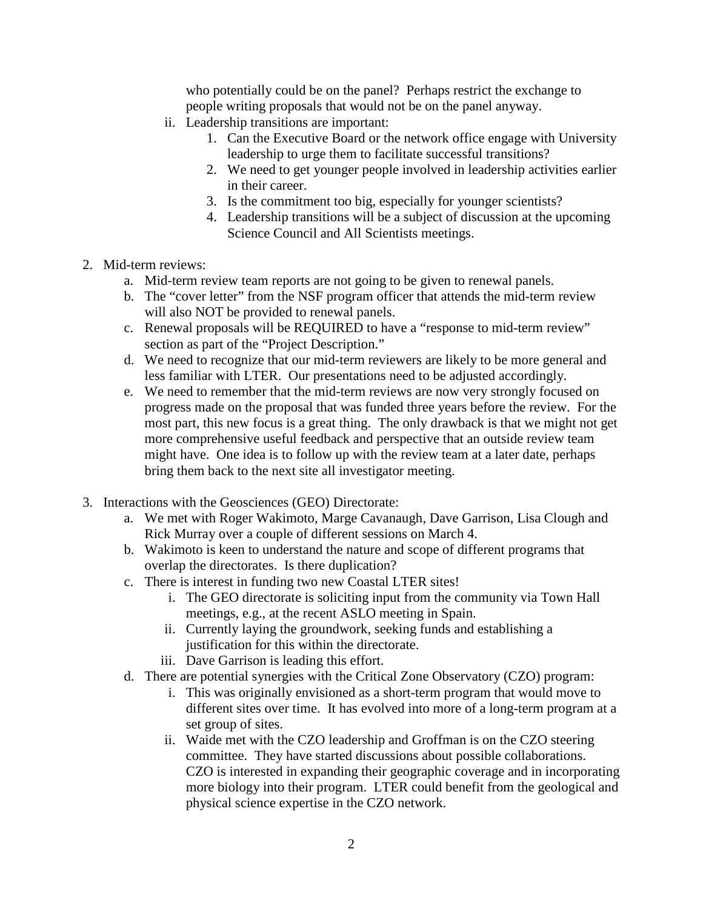who potentially could be on the panel? Perhaps restrict the exchange to people writing proposals that would not be on the panel anyway.

- ii. Leadership transitions are important:
	- 1. Can the Executive Board or the network office engage with University leadership to urge them to facilitate successful transitions?
	- 2. We need to get younger people involved in leadership activities earlier in their career.
	- 3. Is the commitment too big, especially for younger scientists?
	- 4. Leadership transitions will be a subject of discussion at the upcoming Science Council and All Scientists meetings.
- 2. Mid-term reviews:
	- a. Mid-term review team reports are not going to be given to renewal panels.
	- b. The "cover letter" from the NSF program officer that attends the mid-term review will also NOT be provided to renewal panels.
	- c. Renewal proposals will be REQUIRED to have a "response to mid-term review" section as part of the "Project Description."
	- d. We need to recognize that our mid-term reviewers are likely to be more general and less familiar with LTER. Our presentations need to be adjusted accordingly.
	- e. We need to remember that the mid-term reviews are now very strongly focused on progress made on the proposal that was funded three years before the review. For the most part, this new focus is a great thing. The only drawback is that we might not get more comprehensive useful feedback and perspective that an outside review team might have. One idea is to follow up with the review team at a later date, perhaps bring them back to the next site all investigator meeting.
- 3. Interactions with the Geosciences (GEO) Directorate:
	- a. We met with Roger Wakimoto, Marge Cavanaugh, Dave Garrison, Lisa Clough and Rick Murray over a couple of different sessions on March 4.
	- b. Wakimoto is keen to understand the nature and scope of different programs that overlap the directorates. Is there duplication?
	- c. There is interest in funding two new Coastal LTER sites!
		- i. The GEO directorate is soliciting input from the community via Town Hall meetings, e.g., at the recent ASLO meeting in Spain.
		- ii. Currently laying the groundwork, seeking funds and establishing a justification for this within the directorate.
		- iii. Dave Garrison is leading this effort.
	- d. There are potential synergies with the Critical Zone Observatory (CZO) program:
		- i. This was originally envisioned as a short-term program that would move to different sites over time. It has evolved into more of a long-term program at a set group of sites.
		- ii. Waide met with the CZO leadership and Groffman is on the CZO steering committee. They have started discussions about possible collaborations. CZO is interested in expanding their geographic coverage and in incorporating more biology into their program. LTER could benefit from the geological and physical science expertise in the CZO network.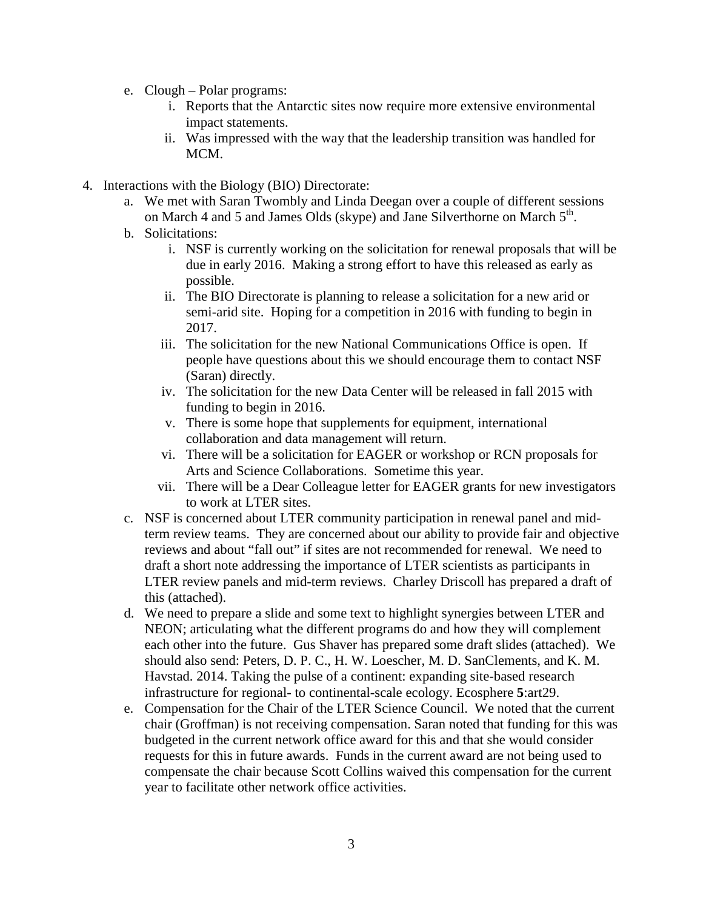- e. Clough Polar programs:
	- i. Reports that the Antarctic sites now require more extensive environmental impact statements.
	- ii. Was impressed with the way that the leadership transition was handled for MCM.
- 4. Interactions with the Biology (BIO) Directorate:
	- a. We met with Saran Twombly and Linda Deegan over a couple of different sessions on March 4 and 5 and James Olds (skype) and Jane Silverthorne on March  $5<sup>th</sup>$ .
	- b. Solicitations:
		- i. NSF is currently working on the solicitation for renewal proposals that will be due in early 2016. Making a strong effort to have this released as early as possible.
		- ii. The BIO Directorate is planning to release a solicitation for a new arid or semi-arid site. Hoping for a competition in 2016 with funding to begin in 2017.
		- iii. The solicitation for the new National Communications Office is open. If people have questions about this we should encourage them to contact NSF (Saran) directly.
		- iv. The solicitation for the new Data Center will be released in fall 2015 with funding to begin in 2016.
		- v. There is some hope that supplements for equipment, international collaboration and data management will return.
		- vi. There will be a solicitation for EAGER or workshop or RCN proposals for Arts and Science Collaborations. Sometime this year.
		- vii. There will be a Dear Colleague letter for EAGER grants for new investigators to work at LTER sites.
	- c. NSF is concerned about LTER community participation in renewal panel and midterm review teams. They are concerned about our ability to provide fair and objective reviews and about "fall out" if sites are not recommended for renewal. We need to draft a short note addressing the importance of LTER scientists as participants in LTER review panels and mid-term reviews. Charley Driscoll has prepared a draft of this (attached).
	- d. We need to prepare a slide and some text to highlight synergies between LTER and NEON; articulating what the different programs do and how they will complement each other into the future. Gus Shaver has prepared some draft slides (attached). We should also send: Peters, D. P. C., H. W. Loescher, M. D. SanClements, and K. M. Havstad. 2014. Taking the pulse of a continent: expanding site-based research infrastructure for regional- to continental-scale ecology. Ecosphere **5**:art29.
	- e. Compensation for the Chair of the LTER Science Council. We noted that the current chair (Groffman) is not receiving compensation. Saran noted that funding for this was budgeted in the current network office award for this and that she would consider requests for this in future awards. Funds in the current award are not being used to compensate the chair because Scott Collins waived this compensation for the current year to facilitate other network office activities.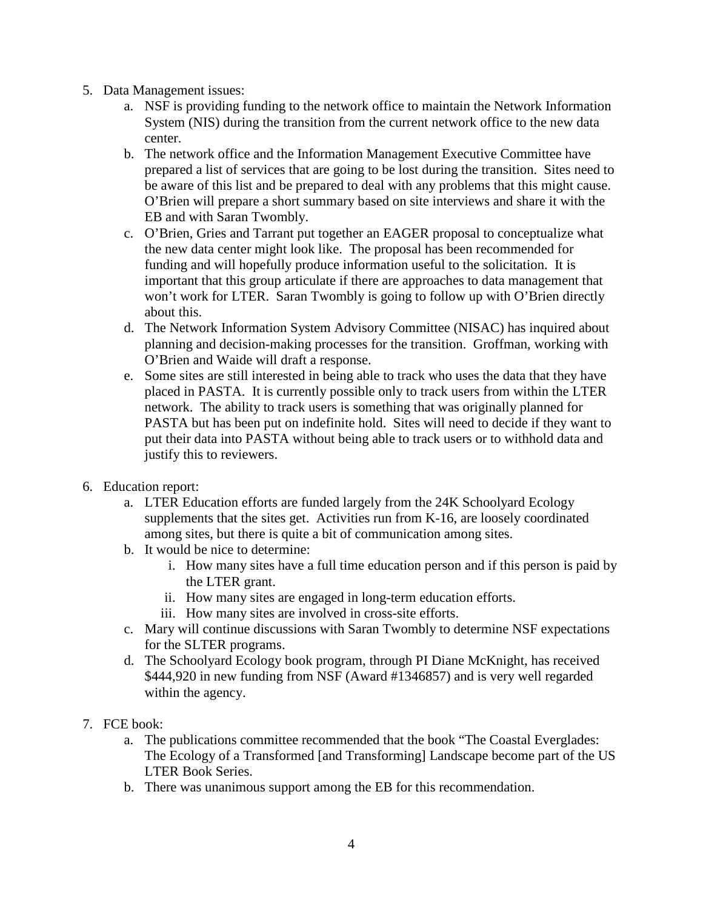- 5. Data Management issues:
	- a. NSF is providing funding to the network office to maintain the Network Information System (NIS) during the transition from the current network office to the new data center.
	- b. The network office and the Information Management Executive Committee have prepared a list of services that are going to be lost during the transition. Sites need to be aware of this list and be prepared to deal with any problems that this might cause. O'Brien will prepare a short summary based on site interviews and share it with the EB and with Saran Twombly.
	- c. O'Brien, Gries and Tarrant put together an EAGER proposal to conceptualize what the new data center might look like. The proposal has been recommended for funding and will hopefully produce information useful to the solicitation. It is important that this group articulate if there are approaches to data management that won't work for LTER. Saran Twombly is going to follow up with O'Brien directly about this.
	- d. The Network Information System Advisory Committee (NISAC) has inquired about planning and decision-making processes for the transition. Groffman, working with O'Brien and Waide will draft a response.
	- e. Some sites are still interested in being able to track who uses the data that they have placed in PASTA. It is currently possible only to track users from within the LTER network. The ability to track users is something that was originally planned for PASTA but has been put on indefinite hold. Sites will need to decide if they want to put their data into PASTA without being able to track users or to withhold data and justify this to reviewers.
- 6. Education report:
	- a. LTER Education efforts are funded largely from the 24K Schoolyard Ecology supplements that the sites get. Activities run from K-16, are loosely coordinated among sites, but there is quite a bit of communication among sites.
	- b. It would be nice to determine:
		- i. How many sites have a full time education person and if this person is paid by the LTER grant.
		- ii. How many sites are engaged in long-term education efforts.
		- iii. How many sites are involved in cross-site efforts.
	- c. Mary will continue discussions with Saran Twombly to determine NSF expectations for the SLTER programs.
	- d. The Schoolyard Ecology book program, through PI Diane McKnight, has received \$444,920 in new funding from NSF (Award #1346857) and is very well regarded within the agency.
- 7. FCE book:
	- a. The publications committee recommended that the book "The Coastal Everglades: The Ecology of a Transformed [and Transforming] Landscape become part of the US LTER Book Series.
	- b. There was unanimous support among the EB for this recommendation.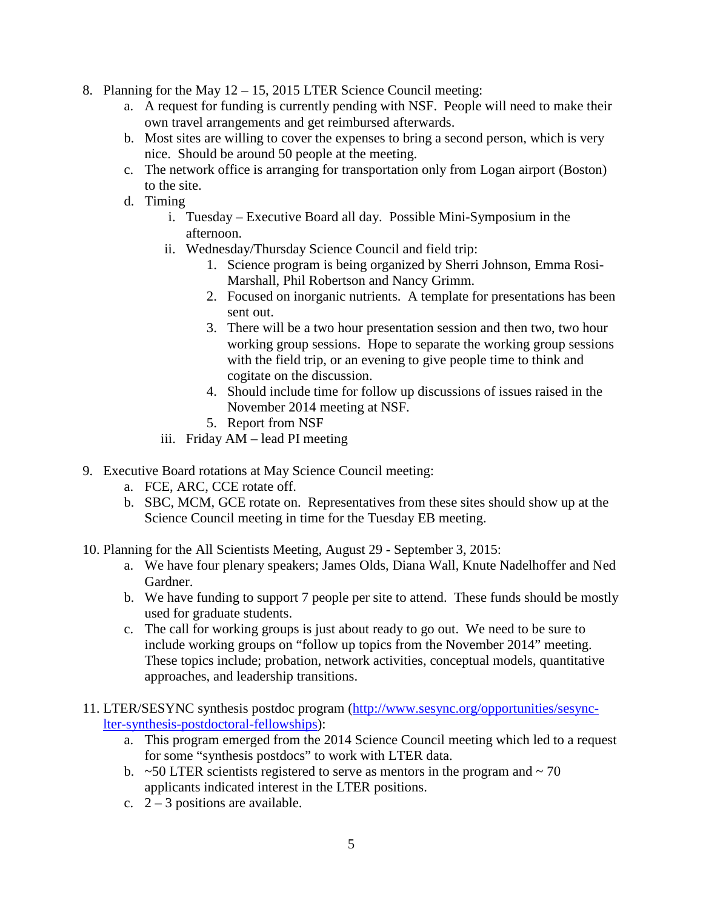- 8. Planning for the May 12 15, 2015 LTER Science Council meeting:
	- a. A request for funding is currently pending with NSF. People will need to make their own travel arrangements and get reimbursed afterwards.
	- b. Most sites are willing to cover the expenses to bring a second person, which is very nice. Should be around 50 people at the meeting.
	- c. The network office is arranging for transportation only from Logan airport (Boston) to the site.
	- d. Timing
		- i. Tuesday Executive Board all day. Possible Mini-Symposium in the afternoon.
		- ii. Wednesday/Thursday Science Council and field trip:
			- 1. Science program is being organized by Sherri Johnson, Emma Rosi-Marshall, Phil Robertson and Nancy Grimm.
			- 2. Focused on inorganic nutrients. A template for presentations has been sent out.
			- 3. There will be a two hour presentation session and then two, two hour working group sessions. Hope to separate the working group sessions with the field trip, or an evening to give people time to think and cogitate on the discussion.
			- 4. Should include time for follow up discussions of issues raised in the November 2014 meeting at NSF.
			- 5. Report from NSF
		- iii. Friday AM lead PI meeting
- 9. Executive Board rotations at May Science Council meeting:
	- a. FCE, ARC, CCE rotate off.
	- b. SBC, MCM, GCE rotate on. Representatives from these sites should show up at the Science Council meeting in time for the Tuesday EB meeting.
- 10. Planning for the All Scientists Meeting, August 29 September 3, 2015:
	- a. We have four plenary speakers; James Olds, Diana Wall, Knute Nadelhoffer and Ned Gardner.
	- b. We have funding to support 7 people per site to attend. These funds should be mostly used for graduate students.
	- c. The call for working groups is just about ready to go out. We need to be sure to include working groups on "follow up topics from the November 2014" meeting. These topics include; probation, network activities, conceptual models, quantitative approaches, and leadership transitions.
- 11. LTER/SESYNC synthesis postdoc program [\(http://www.sesync.org/opportunities/sesync](http://www.sesync.org/opportunities/sesync-lter-synthesis-postdoctoral-fellowships)[lter-synthesis-postdoctoral-fellowships\)](http://www.sesync.org/opportunities/sesync-lter-synthesis-postdoctoral-fellowships):
	- a. This program emerged from the 2014 Science Council meeting which led to a request for some "synthesis postdocs" to work with LTER data.
	- b.  $\approx$  50 LTER scientists registered to serve as mentors in the program and  $\sim$  70 applicants indicated interest in the LTER positions.
	- c.  $2 3$  positions are available.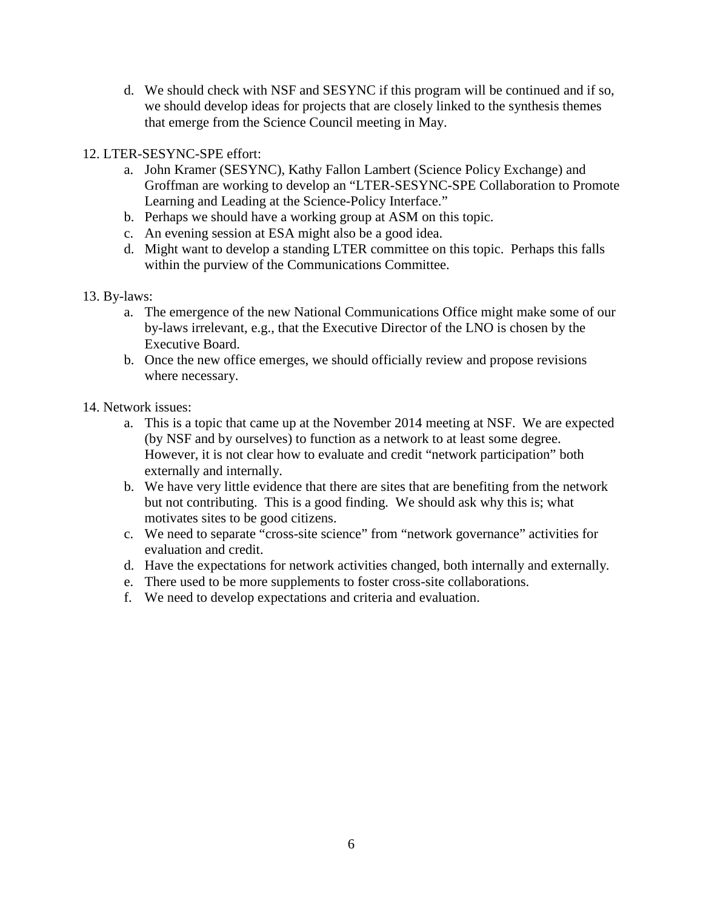d. We should check with NSF and SESYNC if this program will be continued and if so, we should develop ideas for projects that are closely linked to the synthesis themes that emerge from the Science Council meeting in May.

#### 12. LTER-SESYNC-SPE effort:

- a. John Kramer (SESYNC), Kathy Fallon Lambert (Science Policy Exchange) and Groffman are working to develop an "LTER-SESYNC-SPE Collaboration to Promote Learning and Leading at the Science-Policy Interface."
- b. Perhaps we should have a working group at ASM on this topic.
- c. An evening session at ESA might also be a good idea.
- d. Might want to develop a standing LTER committee on this topic. Perhaps this falls within the purview of the Communications Committee.

#### 13. By-laws:

- a. The emergence of the new National Communications Office might make some of our by-laws irrelevant, e.g., that the Executive Director of the LNO is chosen by the Executive Board.
- b. Once the new office emerges, we should officially review and propose revisions where necessary.

#### 14. Network issues:

- a. This is a topic that came up at the November 2014 meeting at NSF. We are expected (by NSF and by ourselves) to function as a network to at least some degree. However, it is not clear how to evaluate and credit "network participation" both externally and internally.
- b. We have very little evidence that there are sites that are benefiting from the network but not contributing. This is a good finding. We should ask why this is; what motivates sites to be good citizens.
- c. We need to separate "cross-site science" from "network governance" activities for evaluation and credit.
- d. Have the expectations for network activities changed, both internally and externally.
- e. There used to be more supplements to foster cross-site collaborations.
- f. We need to develop expectations and criteria and evaluation.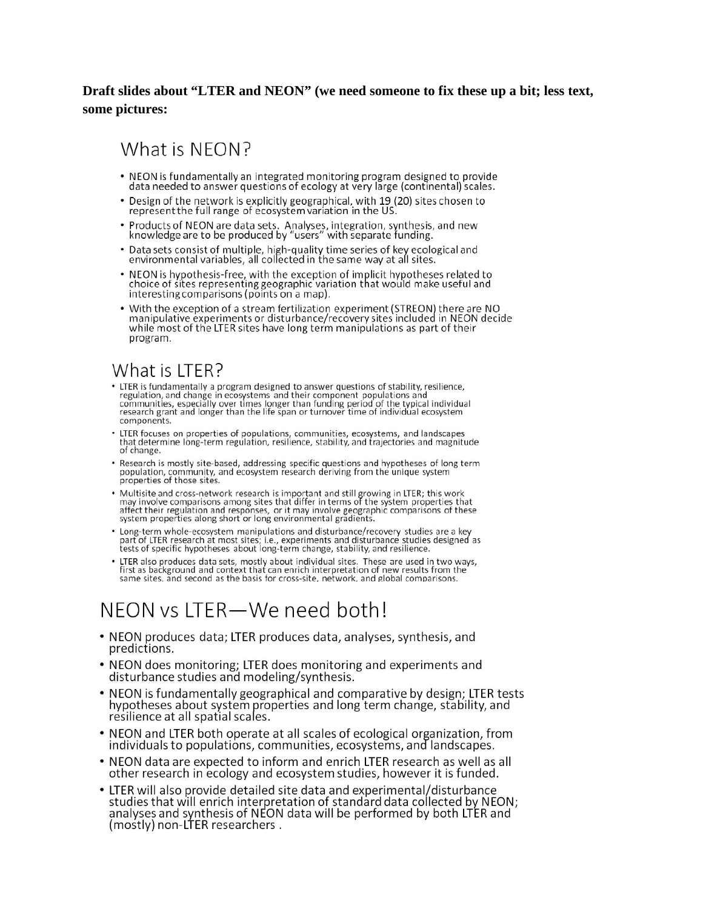#### **Draft slides about "LTER and NEON" (we need someone to fix these up a bit; less text, some pictures:**

## What is NEON?

- . NEON is fundamentally an integrated monitoring program designed to provide data needed to answer questions of ecology at very large (continental) scales.
- Design of the network is explicitly geographical, with 19 (20) sites chosen to represent the full range of ecosystem variation in the US.
- Products of NEON are data sets. Analyses, integration, synthesis, and new knowledge are to be produced by "users" with separate funding.
- Data sets consist of multiple, high-quality time series of key ecological and environmental variables, all collected in the same way at all sites.
- NEON is hypothesis-free, with the exception of implicit hypotheses related to choice of sites representing geographic variation that would make useful and interesting comparisons (points on a map).
- . With the exception of a stream fertilization experiment (STREON) there are NO manipulative experiments or disturbance/recovery sites included in NEON decide while most of the LTER sites have long term manipulations as part of their program.

## What is LTER?

- LTER is fundamentally a program designed to answer questions of stability, resilience, regulation, and change in ecosystems and their component populations and communities, especially over times longer than funding period of the typical individual research grant and longer than the life span or turnover time components.
- LTER focuses on properties of populations, communities, ecosystems, and landscapes that determine long-term regulation, resilience, stability, and trajectories and magnitude of change.
- Research is mostly site-based, addressing specific questions and hypotheses of long term population, community, and ecosystem research deriving from the unique system properties of those sites.
- Multisite and cross-network research is important and still growing in LTER; this work may involve comparisons among sites that differ in terms of the system properties that affect their regulation and responses, or it m
- Long-term whole-ecosystem manipulations and disturbance/recovery studies are a key<br>part of LTER research at most sites; i.e., experiments and disturbance studies designed as<br>tests of specific hypotheses about long-term c
- LTER also produces data sets, mostly about individual sites. These are used in two ways, first as background and context that can enrich interpretation of new results from the same sites. and second as the basis for cros

# NFON vs LTFR-We need both!

- NEON produces data; LTER produces data, analyses, synthesis, and predictions.
- NEON does monitoring; LTER does monitoring and experiments and disturbance studies and modeling/synthesis.
- NEON is fundamentally geographical and comparative by design; LTER tests hypotheses about system properties and long term change, stability, and resilience at all spatial scales.
- NEON and LTER both operate at all scales of ecological organization, from individuals to populations, communities, ecosystems, and landscapes.
- . NEON data are expected to inform and enrich LTER research as well as all other research in ecology and ecosystem studies, however it is funded.
- LTER will also provide detailed site data and experimental/disturbance studies that will enrich interpretation of standard data collected by NEON; analyses and synthesis of NEON data will be performed by both LTER and (mostly) non-LTER researchers.